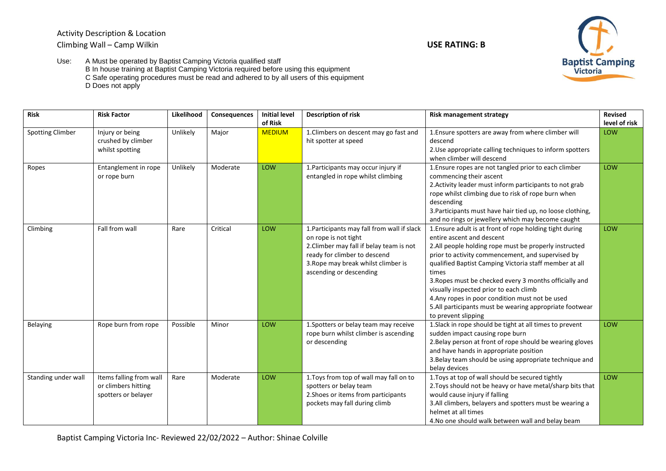Activity Description & Location Climbing Wall – Camp Wilkin **USE RATING: B**



Use: A Must be operated by Baptist Camping Victoria qualified staff B In house training at Baptist Camping Victoria required before using this equipment C Safe operating procedures must be read and adhered to by all users of this equipment D Does not apply

| <b>Risk</b>             | <b>Risk Factor</b>                                                    | Likelihood | Consequences | <b>Initial level</b>     | Description of risk                                                                                                                                                                                               | <b>Risk management strategy</b>                                                                                                                                                                                                                                                                                                                                                                                                                                                                                                                                      | <b>Revised</b>       |
|-------------------------|-----------------------------------------------------------------------|------------|--------------|--------------------------|-------------------------------------------------------------------------------------------------------------------------------------------------------------------------------------------------------------------|----------------------------------------------------------------------------------------------------------------------------------------------------------------------------------------------------------------------------------------------------------------------------------------------------------------------------------------------------------------------------------------------------------------------------------------------------------------------------------------------------------------------------------------------------------------------|----------------------|
| <b>Spotting Climber</b> | Injury or being<br>crushed by climber<br>whilst spotting              | Unlikely   | Major        | of Risk<br><b>MEDIUM</b> | 1. Climbers on descent may go fast and<br>hit spotter at speed                                                                                                                                                    | 1. Ensure spotters are away from where climber will<br>descend<br>2. Use appropriate calling techniques to inform spotters                                                                                                                                                                                                                                                                                                                                                                                                                                           | level of risk<br>LOW |
| Ropes                   | Entanglement in rope<br>or rope burn                                  | Unlikely   | Moderate     | LOW                      | 1. Participants may occur injury if<br>entangled in rope whilst climbing                                                                                                                                          | when climber will descend<br>1. Ensure ropes are not tangled prior to each climber<br>commencing their ascent<br>2. Activity leader must inform participants to not grab<br>rope whilst climbing due to risk of rope burn when<br>descending<br>3. Participants must have hair tied up, no loose clothing,                                                                                                                                                                                                                                                           | LOW                  |
| Climbing                | Fall from wall                                                        | Rare       | Critical     | LOW                      | 1. Participants may fall from wall if slack<br>on rope is not tight<br>2. Climber may fall if belay team is not<br>ready for climber to descend<br>3. Rope may break whilst climber is<br>ascending or descending | and no rings or jewellery which may become caught<br>1. Ensure adult is at front of rope holding tight during<br>entire ascent and descent<br>2.All people holding rope must be properly instructed<br>prior to activity commencement, and supervised by<br>qualified Baptist Camping Victoria staff member at all<br>times<br>3. Ropes must be checked every 3 months officially and<br>visually inspected prior to each climb<br>4. Any ropes in poor condition must not be used<br>5.All participants must be wearing appropriate footwear<br>to prevent slipping | LOW                  |
| <b>Belaying</b>         | Rope burn from rope                                                   | Possible   | Minor        | LOW                      | 1. Spotters or belay team may receive<br>rope burn whilst climber is ascending<br>or descending                                                                                                                   | 1. Slack in rope should be tight at all times to prevent<br>sudden impact causing rope burn<br>2. Belay person at front of rope should be wearing gloves<br>and have hands in appropriate position<br>3. Belay team should be using appropriate technique and<br>belay devices                                                                                                                                                                                                                                                                                       | LOW                  |
| Standing under wall     | Items falling from wall<br>or climbers hitting<br>spotters or belayer | Rare       | Moderate     | LOW                      | 1. Toys from top of wall may fall on to<br>spotters or belay team<br>2. Shoes or items from participants<br>pockets may fall during climb                                                                         | 1. Toys at top of wall should be secured tightly<br>2. Toys should not be heavy or have metal/sharp bits that<br>would cause injury if falling<br>3.All climbers, belayers and spotters must be wearing a<br>helmet at all times<br>4. No one should walk between wall and belay beam                                                                                                                                                                                                                                                                                | LOW                  |